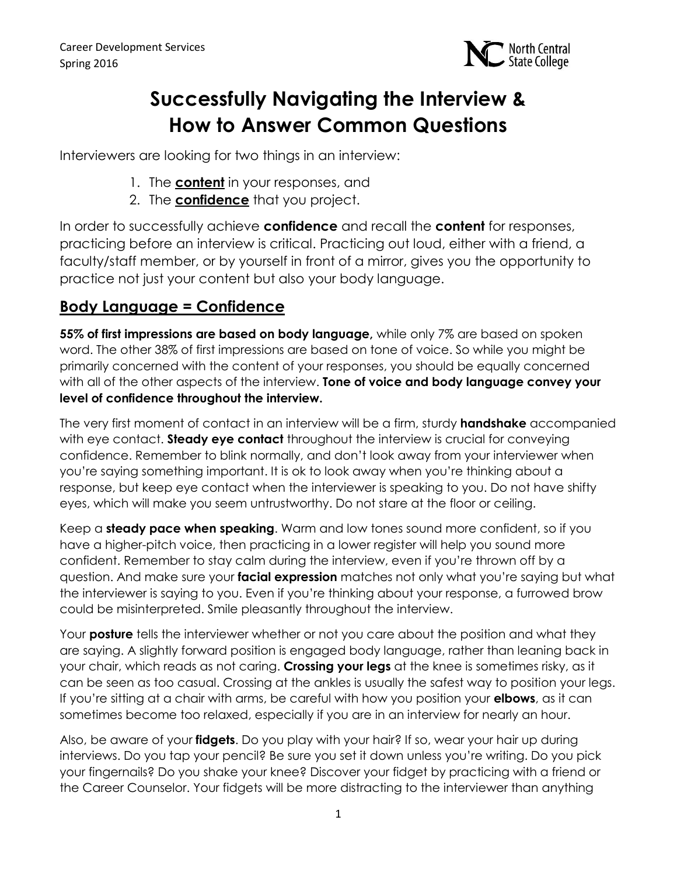

# **Successfully Navigating the Interview & How to Answer Common Questions**

Interviewers are looking for two things in an interview:

- 1. The **content** in your responses, and
- 2. The **confidence** that you project.

In order to successfully achieve **confidence** and recall the **content** for responses, practicing before an interview is critical. Practicing out loud, either with a friend, a faculty/staff member, or by yourself in front of a mirror, gives you the opportunity to practice not just your content but also your body language.

# **Body Language = Confidence**

**55% of first impressions are based on body language,** while only 7% are based on spoken word. The other 38% of first impressions are based on tone of voice. So while you might be primarily concerned with the content of your responses, you should be equally concerned with all of the other aspects of the interview. **Tone of voice and body language convey your level of confidence throughout the interview.**

The very first moment of contact in an interview will be a firm, sturdy **handshake** accompanied with eye contact. **Steady eye contact** throughout the interview is crucial for conveying confidence. Remember to blink normally, and don't look away from your interviewer when you're saying something important. It is ok to look away when you're thinking about a response, but keep eye contact when the interviewer is speaking to you. Do not have shifty eyes, which will make you seem untrustworthy. Do not stare at the floor or ceiling.

Keep a **steady pace when speaking**. Warm and low tones sound more confident, so if you have a higher-pitch voice, then practicing in a lower register will help you sound more confident. Remember to stay calm during the interview, even if you're thrown off by a question. And make sure your **facial expression** matches not only what you're saying but what the interviewer is saying to you. Even if you're thinking about your response, a furrowed brow could be misinterpreted. Smile pleasantly throughout the interview.

Your **posture** tells the interviewer whether or not you care about the position and what they are saying. A slightly forward position is engaged body language, rather than leaning back in your chair, which reads as not caring. **Crossing your legs** at the knee is sometimes risky, as it can be seen as too casual. Crossing at the ankles is usually the safest way to position your legs. If you're sitting at a chair with arms, be careful with how you position your **elbows**, as it can sometimes become too relaxed, especially if you are in an interview for nearly an hour.

Also, be aware of your **fidgets**. Do you play with your hair? If so, wear your hair up during interviews. Do you tap your pencil? Be sure you set it down unless you're writing. Do you pick your fingernails? Do you shake your knee? Discover your fidget by practicing with a friend or the Career Counselor. Your fidgets will be more distracting to the interviewer than anything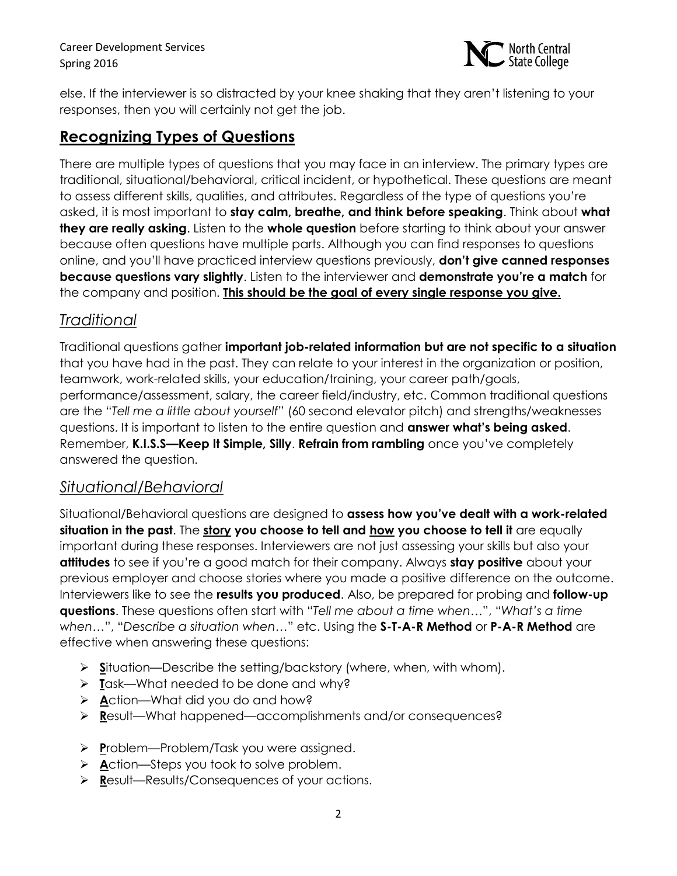Career Development Services Spring 2016



else. If the interviewer is so distracted by your knee shaking that they aren't listening to your responses, then you will certainly not get the job.

#### **Recognizing Types of Questions**

There are multiple types of questions that you may face in an interview. The primary types are traditional, situational/behavioral, critical incident, or hypothetical. These questions are meant to assess different skills, qualities, and attributes. Regardless of the type of questions you're asked, it is most important to **stay calm, breathe, and think before speaking**. Think about **what they are really asking**. Listen to the **whole question** before starting to think about your answer because often questions have multiple parts. Although you can find responses to questions online, and you'll have practiced interview questions previously, **don't give canned responses because questions vary slightly**. Listen to the interviewer and **demonstrate you're a match** for the company and position. **This should be the goal of every single response you give.**

#### *Traditional*

Traditional questions gather **important job-related information but are not specific to a situation** that you have had in the past. They can relate to your interest in the organization or position, teamwork, work-related skills, your education/training, your career path/goals, performance/assessment, salary, the career field/industry, etc. Common traditional questions are the "*Tell me a little about yourself*" (60 second elevator pitch) and strengths/weaknesses questions. It is important to listen to the entire question and **answer what's being asked**. Remember, **K.I.S.S—Keep It Simple, Silly**. **Refrain from rambling** once you've completely answered the question.

#### *Situational/Behavioral*

Situational/Behavioral questions are designed to **assess how you've dealt with a work-related situation in the past**. The **story you choose to tell and how you choose to tell it** are equally important during these responses. Interviewers are not just assessing your skills but also your **attitudes** to see if you're a good match for their company. Always **stay positive** about your previous employer and choose stories where you made a positive difference on the outcome. Interviewers like to see the **results you produced**. Also, be prepared for probing and **follow-up questions**. These questions often start with "*Tell me about a time when*…", "*What's a time when*…", "*Describe a situation when*…" etc. Using the **S-T-A-R Method** or **P-A-R Method** are effective when answering these questions:

- **► Situation—Describe the setting/backstory (where, when, with whom).**
- **T**ask—What needed to be done and why?
- **A**ction—What did you do and how?
- **R**esult—What happened—accomplishments and/or consequences?
- **P**roblem—Problem/Task you were assigned.
- **A**ction—Steps you took to solve problem.
- **R**esult—Results/Consequences of your actions.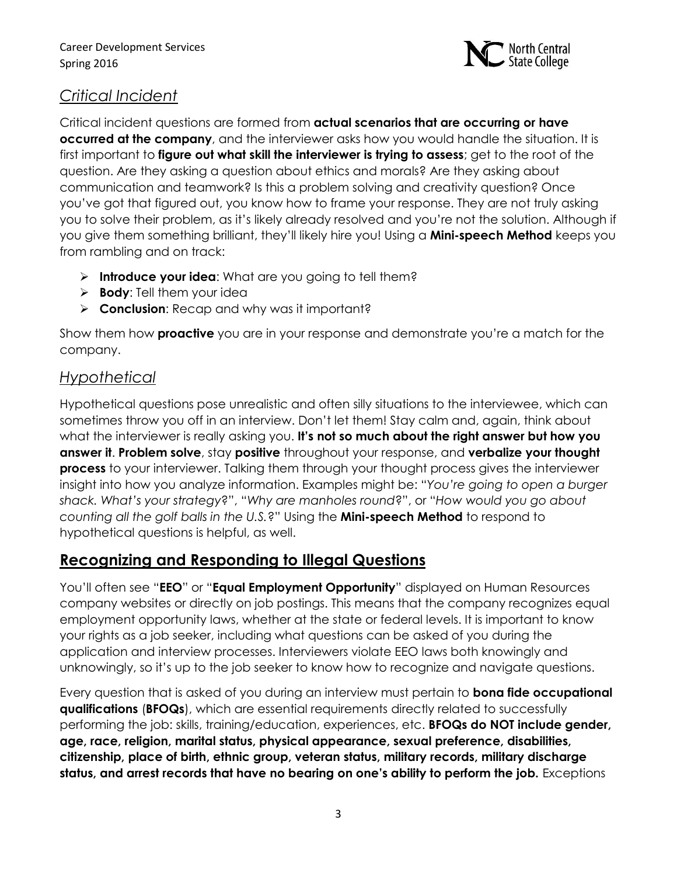

#### *Critical Incident*

Critical incident questions are formed from **actual scenarios that are occurring or have occurred at the company**, and the interviewer asks how you would handle the situation. It is first important to **figure out what skill the interviewer is trying to assess**; get to the root of the question. Are they asking a question about ethics and morals? Are they asking about communication and teamwork? Is this a problem solving and creativity question? Once you've got that figured out, you know how to frame your response. They are not truly asking you to solve their problem, as it's likely already resolved and you're not the solution. Although if you give them something brilliant, they'll likely hire you! Using a **Mini-speech Method** keeps you from rambling and on track:

- **Introduce your idea:** What are you going to tell them?
- **Body**: Tell them your idea
- **Conclusion**: Recap and why was it important?

Show them how **proactive** you are in your response and demonstrate you're a match for the company.

### *Hypothetical*

Hypothetical questions pose unrealistic and often silly situations to the interviewee, which can sometimes throw you off in an interview. Don't let them! Stay calm and, again, think about what the interviewer is really asking you. **It's not so much about the right answer but how you answer it**. **Problem solve**, stay **positive** throughout your response, and **verbalize your thought process** to your interviewer. Talking them through your thought process gives the interviewer insight into how you analyze information. Examples might be: "*You're going to open a burger shack. What's your strategy*?", "*Why are manholes round*?", or "*How would you go about counting all the golf balls in the U.S.*?" Using the **Mini-speech Method** to respond to hypothetical questions is helpful, as well.

# **Recognizing and Responding to Illegal Questions**

You'll often see "**EEO**" or "**Equal Employment Opportunity**" displayed on Human Resources company websites or directly on job postings. This means that the company recognizes equal employment opportunity laws, whether at the state or federal levels. It is important to know your rights as a job seeker, including what questions can be asked of you during the application and interview processes. Interviewers violate EEO laws both knowingly and unknowingly, so it's up to the job seeker to know how to recognize and navigate questions.

Every question that is asked of you during an interview must pertain to **bona fide occupational qualifications** (**BFOQs**), which are essential requirements directly related to successfully performing the job: skills, training/education, experiences, etc. **BFOQs do NOT include gender, age, race, religion, marital status, physical appearance, sexual preference, disabilities, citizenship, place of birth, ethnic group, veteran status, military records, military discharge status, and arrest records that have no bearing on one's ability to perform the job.** Exceptions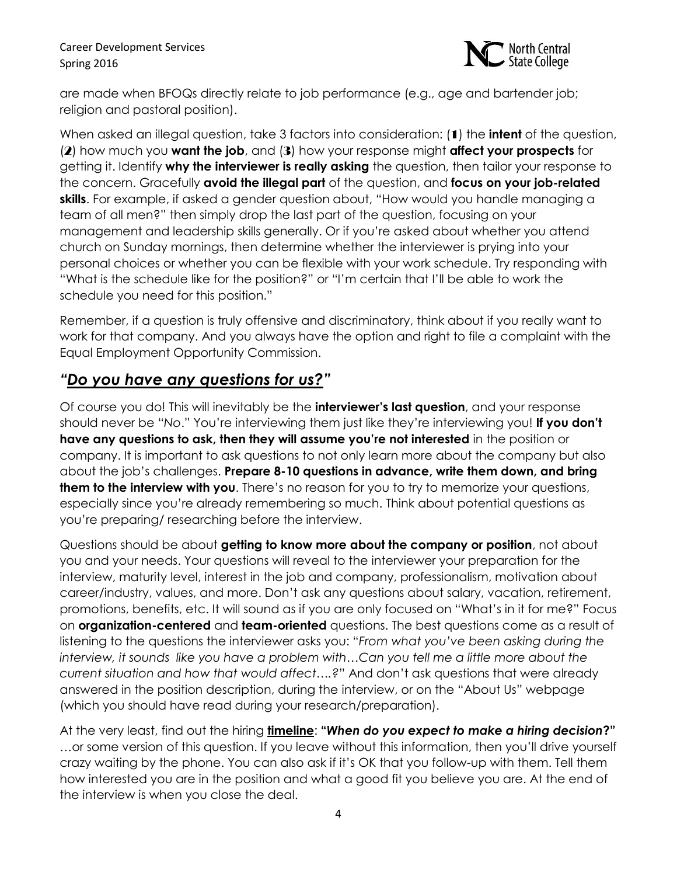

are made when BFOQs directly relate to job performance (e.g., age and bartender job; religion and pastoral position).

When asked an illegal question, take 3 factors into consideration: (1) the **intent** of the question, (2) how much you **want the job**, and (3) how your response might **affect your prospects** for getting it. Identify **why the interviewer is really asking** the question, then tailor your response to the concern. Gracefully **avoid the illegal part** of the question, and **focus on your job-related skills**. For example, if asked a gender question about, "How would you handle managing a team of all men?" then simply drop the last part of the question, focusing on your management and leadership skills generally. Or if you're asked about whether you attend church on Sunday mornings, then determine whether the interviewer is prying into your personal choices or whether you can be flexible with your work schedule. Try responding with "What is the schedule like for the position?" or "I'm certain that I'll be able to work the schedule you need for this position."

Remember, if a question is truly offensive and discriminatory, think about if you really want to work for that company. And you always have the option and right to file a complaint with the Equal Employment Opportunity Commission.

### *"Do you have any questions for us?"*

Of course you do! This will inevitably be the **interviewer's last question**, and your response should never be "*No*." You're interviewing them just like they're interviewing you! **If you don't have any questions to ask, then they will assume you're not interested** in the position or company. It is important to ask questions to not only learn more about the company but also about the job's challenges. **Prepare 8-10 questions in advance, write them down, and bring them to the interview with you**. There's no reason for you to try to memorize your questions, especially since you're already remembering so much. Think about potential questions as you're preparing/ researching before the interview.

Questions should be about **getting to know more about the company or position**, not about you and your needs. Your questions will reveal to the interviewer your preparation for the interview, maturity level, interest in the job and company, professionalism, motivation about career/industry, values, and more. Don't ask any questions about salary, vacation, retirement, promotions, benefits, etc. It will sound as if you are only focused on "What's in it for me?" Focus on **organization-centered** and **team-oriented** questions. The best questions come as a result of listening to the questions the interviewer asks you: "*From what you've been asking during the interview, it sounds like you have a problem with…Can you tell me a little more about the current situation and how that would affect….?*" And don't ask questions that were already answered in the position description, during the interview, or on the "About Us" webpage (which you should have read during your research/preparation).

At the very least, find out the hiring **timeline**: **"***When do you expect to make a hiring decision***?"** …or some version of this question. If you leave without this information, then you'll drive yourself crazy waiting by the phone. You can also ask if it's OK that you follow-up with them. Tell them how interested you are in the position and what a good fit you believe you are. At the end of the interview is when you close the deal.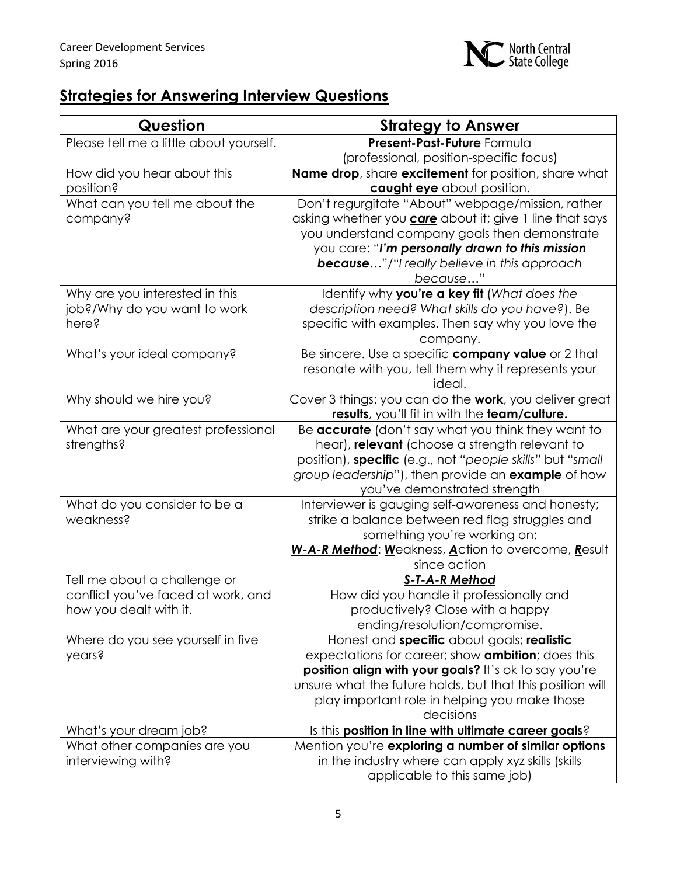

# **Strategies for Answering Interview Questions**

| <b>Question</b>                         | <b>Strategy to Answer</b>                                      |
|-----------------------------------------|----------------------------------------------------------------|
| Please tell me a little about yourself. | Present-Past-Future Formula                                    |
|                                         | (professional, position-specific focus)                        |
| How did you hear about this             | <b>Name drop</b> , share excitement for position, share what   |
| position?                               | caught eye about position.                                     |
| What can you tell me about the          | Don't regurgitate "About" webpage/mission, rather              |
| company?                                | asking whether you <b>care</b> about it; give 1 line that says |
|                                         | you understand company goals then demonstrate                  |
|                                         | you care: "I'm personally drawn to this mission                |
|                                         | <b>because"/"I really believe in this approach</b>             |
|                                         | because"                                                       |
| Why are you interested in this          | Identify why you're a key fit (What does the                   |
| job?/Why do you want to work            | description need? What skills do you have?). Be                |
| here?                                   | specific with examples. Then say why you love the              |
| What's your ideal company?              | company.<br>Be sincere. Use a specific company value or 2 that |
|                                         | resonate with you, tell them why it represents your            |
|                                         | ideal.                                                         |
| Why should we hire you?                 | Cover 3 things: you can do the work, you deliver great         |
|                                         | results, you'll fit in with the team/culture.                  |
| What are your greatest professional     | Be accurate (don't say what you think they want to             |
| strengths?                              | hear), relevant (choose a strength relevant to                 |
|                                         | position), specific (e.g., not "people skills" but "small      |
|                                         | group leadership"), then provide an example of how             |
|                                         | you've demonstrated strength                                   |
| What do you consider to be a            | Interviewer is gauging self-awareness and honesty;             |
| weakness?                               | strike a balance between red flag struggles and                |
|                                         | something you're working on:                                   |
|                                         | W-A-R Method: Weakness, Action to overcome, Result             |
| Tell me about a challenge or            | since action<br><b>S-T-A-R Method</b>                          |
| conflict you've faced at work, and      | How did you handle it professionally and                       |
| how you dealt with it.                  | productively? Close with a happy                               |
|                                         | ending/resolution/compromise.                                  |
| Where do you see yourself in five       | Honest and specific about goals; realistic                     |
| years?                                  | expectations for career; show <b>ambition</b> ; does this      |
|                                         | position align with your goals? It's ok to say you're          |
|                                         | unsure what the future holds, but that this position will      |
|                                         | play important role in helping you make those                  |
|                                         | decisions                                                      |
| What's your dream job?                  | Is this position in line with ultimate career goals?           |
| What other companies are you            | Mention you're exploring a number of similar options           |
| interviewing with?                      | in the industry where can apply xyz skills (skills             |
|                                         | applicable to this same job)                                   |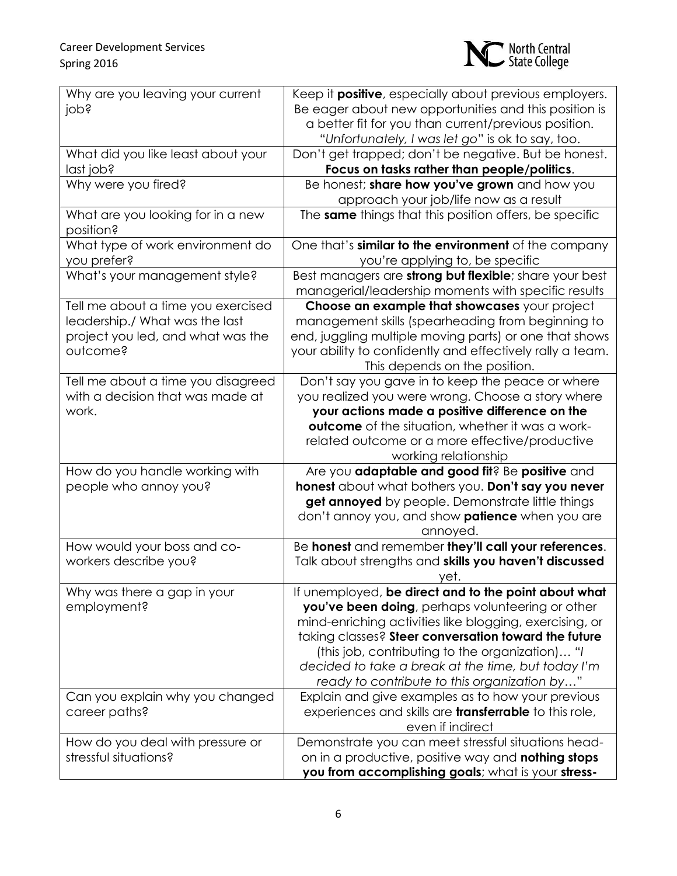

| Why are you leaving your current                          | Keep it <b>positive</b> , especially about previous employers.                                           |
|-----------------------------------------------------------|----------------------------------------------------------------------------------------------------------|
| jops                                                      | Be eager about new opportunities and this position is                                                    |
|                                                           | a better fit for you than current/previous position.                                                     |
|                                                           | "Unfortunately, I was let go" is ok to say, too.                                                         |
| What did you like least about your                        | Don't get trapped; don't be negative. But be honest.                                                     |
| last job?                                                 | Focus on tasks rather than people/politics.                                                              |
| Why were you fired?                                       | Be honest; share how you've grown and how you                                                            |
|                                                           | approach your job/life now as a result                                                                   |
| What are you looking for in a new<br>position?            | The same things that this position offers, be specific                                                   |
| What type of work environment do                          | One that's similar to the environment of the company                                                     |
| you prefer?                                               | you're applying to, be specific                                                                          |
| What's your management style?                             | Best managers are <b>strong but flexible</b> ; share your best                                           |
|                                                           | managerial/leadership moments with specific results                                                      |
| Tell me about a time you exercised                        | Choose an example that showcases your project                                                            |
| leadership./ What was the last                            | management skills (spearheading from beginning to                                                        |
| project you led, and what was the                         | end, juggling multiple moving parts) or one that shows                                                   |
| outcome?                                                  | your ability to confidently and effectively rally a team.                                                |
|                                                           | This depends on the position.                                                                            |
| Tell me about a time you disagreed                        | Don't say you gave in to keep the peace or where                                                         |
| with a decision that was made at                          | you realized you were wrong. Choose a story where                                                        |
| work.                                                     | your actions made a positive difference on the                                                           |
|                                                           | outcome of the situation, whether it was a work-                                                         |
|                                                           | related outcome or a more effective/productive                                                           |
|                                                           | working relationship                                                                                     |
| How do you handle working with                            | Are you adaptable and good fit? Be positive and                                                          |
| people who annoy you?                                     | honest about what bothers you. Don't say you never                                                       |
|                                                           | get annoyed by people. Demonstrate little things                                                         |
|                                                           | don't annoy you, and show <b>patience</b> when you are                                                   |
|                                                           | annoyed.                                                                                                 |
| How would your boss and co-                               | Be honest and remember they'll call your references.                                                     |
| workers describe you?                                     | Talk about strengths and skills you haven't discussed                                                    |
|                                                           | yet.                                                                                                     |
| Why was there a gap in your                               | If unemployed, be direct and to the point about what                                                     |
| employment?                                               | you've been doing, perhaps volunteering or other                                                         |
|                                                           | mind-enriching activities like blogging, exercising, or                                                  |
|                                                           | taking classes? Steer conversation toward the future                                                     |
|                                                           | (this job, contributing to the organization) "I                                                          |
|                                                           | decided to take a break at the time, but today I'm                                                       |
|                                                           | ready to contribute to this organization by"                                                             |
| Can you explain why you changed                           | Explain and give examples as to how your previous                                                        |
| career paths?                                             | experiences and skills are <b>transferrable</b> to this role,                                            |
|                                                           | even if indirect                                                                                         |
| How do you deal with pressure or<br>stressful situations? | Demonstrate you can meet stressful situations head-                                                      |
|                                                           | on in a productive, positive way and nothing stops<br>you from accomplishing goals; what is your stress- |
|                                                           |                                                                                                          |